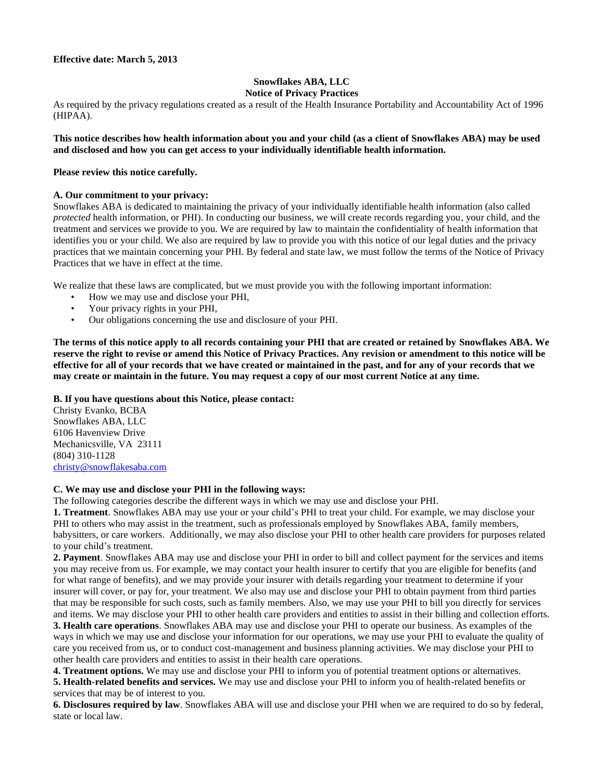# **Snowflakes ABA, LLC**

### **Notice of Privacy Practices**

As required by the privacy regulations created as a result of the Health Insurance Portability and Accountability Act of 1996 (HIPAA).

**This notice describes how health information about you and your child (as a client of Snowflakes ABA) may be used and disclosed and how you can get access to your individually identifiable health information.** 

#### **Please review this notice carefully.**

#### **A. Our commitment to your privacy:**

Snowflakes ABA is dedicated to maintaining the privacy of your individually identifiable health information (also called *protected* health information, or PHI). In conducting our business, we will create records regarding you, your child, and the treatment and services we provide to you. We are required by law to maintain the confidentiality of health information that identifies you or your child. We also are required by law to provide you with this notice of our legal duties and the privacy practices that we maintain concerning your PHI. By federal and state law, we must follow the terms of the Notice of Privacy Practices that we have in effect at the time.

We realize that these laws are complicated, but we must provide you with the following important information:

- How we may use and disclose your PHI,
- Your privacy rights in your PHI,
- Our obligations concerning the use and disclosure of your PHI.

**The terms of this notice apply to all records containing your PHI that are created or retained by Snowflakes ABA. We reserve the right to revise or amend this Notice of Privacy Practices. Any revision or amendment to this notice will be effective for all of your records that we have created or maintained in the past, and for any of your records that we may create or maintain in the future. You may request a copy of our most current Notice at any time.**

#### **B. If you have questions about this Notice, please contact:**

Christy Evanko, BCBA Snowflakes ABA, LLC 6106 Havenview Drive Mechanicsville, VA 23111 (804) 310-1128 [christy@snowflakesaba.com](mailto:christy@snowflakesaba.com)

#### **C. We may use and disclose your PHI in the following ways:**

The following categories describe the different ways in which we may use and disclose your PHI.

**1. Treatment**. Snowflakes ABA may use your or your child's PHI to treat your child. For example, we may disclose your PHI to others who may assist in the treatment, such as professionals employed by Snowflakes ABA, family members, babysitters, or care workers. Additionally, we may also disclose your PHI to other health care providers for purposes related to your child's treatment.

**2. Payment**. Snowflakes ABA may use and disclose your PHI in order to bill and collect payment for the services and items you may receive from us. For example, we may contact your health insurer to certify that you are eligible for benefits (and for what range of benefits), and we may provide your insurer with details regarding your treatment to determine if your insurer will cover, or pay for, your treatment. We also may use and disclose your PHI to obtain payment from third parties that may be responsible for such costs, such as family members. Also, we may use your PHI to bill you directly for services and items. We may disclose your PHI to other health care providers and entities to assist in their billing and collection efforts.

**3. Health care operations**. Snowflakes ABA may use and disclose your PHI to operate our business. As examples of the ways in which we may use and disclose your information for our operations, we may use your PHI to evaluate the quality of care you received from us, or to conduct cost-management and business planning activities. We may disclose your PHI to other health care providers and entities to assist in their health care operations.

**4. Treatment options.** We may use and disclose your PHI to inform you of potential treatment options or alternatives.

**5. Health-related benefits and services.** We may use and disclose your PHI to inform you of health-related benefits or services that may be of interest to you.

**6. Disclosures required by law**. Snowflakes ABA will use and disclose your PHI when we are required to do so by federal, state or local law.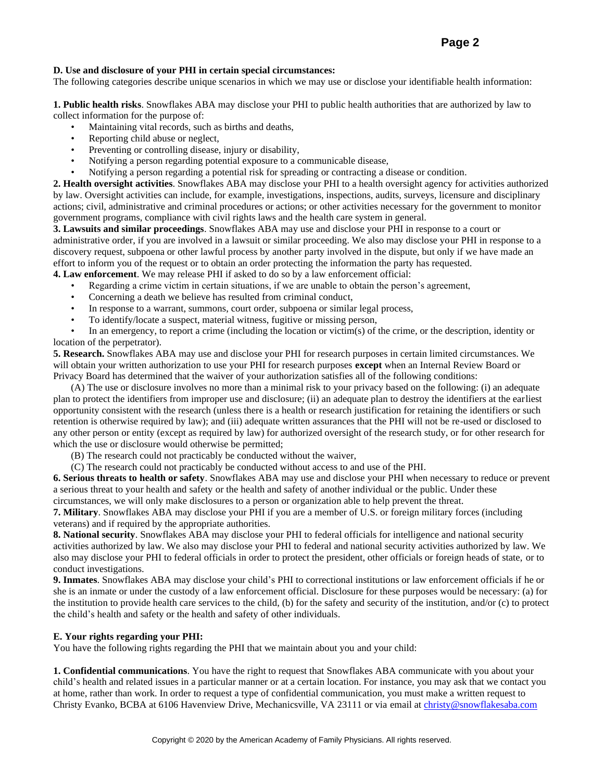## **Page 2**

#### **D. Use and disclosure of your PHI in certain special circumstances:**

The following categories describe unique scenarios in which we may use or disclose your identifiable health information:

**1. Public health risks**. Snowflakes ABA may disclose your PHI to public health authorities that are authorized by law to collect information for the purpose of:

- Maintaining vital records, such as births and deaths,
- Reporting child abuse or neglect,
- Preventing or controlling disease, injury or disability,
- Notifying a person regarding potential exposure to a communicable disease,
- Notifying a person regarding a potential risk for spreading or contracting a disease or condition.

**2. Health oversight activities**. Snowflakes ABA may disclose your PHI to a health oversight agency for activities authorized by law. Oversight activities can include, for example, investigations, inspections, audits, surveys, licensure and disciplinary actions; civil, administrative and criminal procedures or actions; or other activities necessary for the government to monitor government programs, compliance with civil rights laws and the health care system in general.

**3. Lawsuits and similar proceedings**. Snowflakes ABA may use and disclose your PHI in response to a court or administrative order, if you are involved in a lawsuit or similar proceeding. We also may disclose your PHI in response to a discovery request, subpoena or other lawful process by another party involved in the dispute, but only if we have made an effort to inform you of the request or to obtain an order protecting the information the party has requested.

**4. Law enforcement**. We may release PHI if asked to do so by a law enforcement official:

- Regarding a crime victim in certain situations, if we are unable to obtain the person's agreement,
- Concerning a death we believe has resulted from criminal conduct,
- In response to a warrant, summons, court order, subpoena or similar legal process,
- To identify/locate a suspect, material witness, fugitive or missing person,

• In an emergency, to report a crime (including the location or victim(s) of the crime, or the description, identity or location of the perpetrator).

**5. Research.** Snowflakes ABA may use and disclose your PHI for research purposes in certain limited circumstances. We will obtain your written authorization to use your PHI for research purposes **except** when an Internal Review Board or Privacy Board has determined that the waiver of your authorization satisfies all of the following conditions:

(A) The use or disclosure involves no more than a minimal risk to your privacy based on the following: (i) an adequate plan to protect the identifiers from improper use and disclosure; (ii) an adequate plan to destroy the identifiers at the earliest opportunity consistent with the research (unless there is a health or research justification for retaining the identifiers or such retention is otherwise required by law); and (iii) adequate written assurances that the PHI will not be re-used or disclosed to any other person or entity (except as required by law) for authorized oversight of the research study, or for other research for which the use or disclosure would otherwise be permitted;

(B) The research could not practicably be conducted without the waiver,

(C) The research could not practicably be conducted without access to and use of the PHI.

**6. Serious threats to health or safety**. Snowflakes ABA may use and disclose your PHI when necessary to reduce or prevent a serious threat to your health and safety or the health and safety of another individual or the public. Under these circumstances, we will only make disclosures to a person or organization able to help prevent the threat.

**7. Military**. Snowflakes ABA may disclose your PHI if you are a member of U.S. or foreign military forces (including veterans) and if required by the appropriate authorities.

**8. National security**. Snowflakes ABA may disclose your PHI to federal officials for intelligence and national security activities authorized by law. We also may disclose your PHI to federal and national security activities authorized by law. We also may disclose your PHI to federal officials in order to protect the president, other officials or foreign heads of state, or to conduct investigations.

**9. Inmates**. Snowflakes ABA may disclose your child's PHI to correctional institutions or law enforcement officials if he or she is an inmate or under the custody of a law enforcement official. Disclosure for these purposes would be necessary: (a) for the institution to provide health care services to the child, (b) for the safety and security of the institution, and/or (c) to protect the child's health and safety or the health and safety of other individuals.

#### **E. Your rights regarding your PHI:**

You have the following rights regarding the PHI that we maintain about you and your child:

**1. Confidential communications**. You have the right to request that Snowflakes ABA communicate with you about your child's health and related issues in a particular manner or at a certain location. For instance, you may ask that we contact you at home, rather than work. In order to request a type of confidential communication, you must make a written request to Christy Evanko, BCBA at 6106 Havenview Drive, Mechanicsville, VA 23111 or via email at [christy@snowflakesaba.com](mailto:christy@snowflakesaba.com)